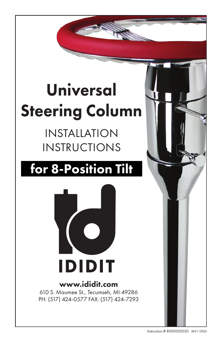# Universal Steering Column

## INSTALLATION INSTRUCTIONS

## for 8-Position Tilt



## www.ididit.com

610 S. Maumee St., Tecumseh, MI 49286 PH: (517) 424-0577 FAX: (517) 424-7293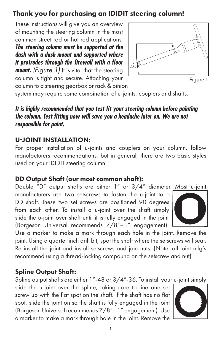## Thank you for purchasing an IDIDIT steering column!

These instructions will give you an overview of mounting the steering column in the most common street rod or hot rod applications.

*The steering column must be supported at the dash with a dash mount and supported where it protrudes through the firewall with a floor* 

*mount. (Figure 1)* It is vital that the steering column is tight and secure. Attaching your



Figure 1

column to a steering gearbox or rack & pinion system may require some combination of u-joints, couplers and shafts.

## *It is highly recommended that you test fit your steering column before painting the column. Test fitting now will save you a headache later on. We are not*

## *responsible for paint.*

## U-JOINT INSTALLATION:

For proper installation of u-joints and couplers on your column, follow manufacturers recommendations, but in general, there are two basic styles used on your IDIDIT steering column:

### DD Output Shaft (our most common shaft):

Double "D" output shafts are either 1" or 3/4" diameter. Most u-joint

manufacturers use two setscrews to fasten the u-joint to a DD shaft. These two set screws are positioned 90 degrees from each other. To install a u-joint over the shaft simply slide the u-joint over shaft until it is fully engaged in the joint (Borgeson Universal recommends 7/8"–1" engagement).



Use a marker to make a mark through each hole in the joint. Remove the joint. Using a quarter inch drill bit, spot the shaft where the setscrews will seat. Re-install the joint and install setscrews and jam nuts. (Note: all joint mfg's recommend using a thread-locking compound on the setscrew and nut).

## Spline Output Shaft:

Spline output shafts are either 1"-48 or  $3/4$ "-36. To install your u-joint simply

slide the u-joint over the spline, taking care to line one set screw up with the flat spot on the shaft. If the shaft has no flat spot, slide the joint on so the shaft is fully engaged in the joint (Borgeson Universal recommends 7/8"–1" engagement). Use a marker to make a mark through hole in the joint. Remove the

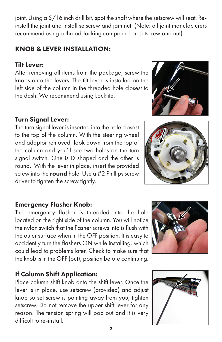joint. Using a 5/16 inch drill bit, spot the shaft where the setscrew will seat. Reinstall the joint and install setscrew and jam nut. (Note: all joint manufacturers recommend using a thread-locking compound on setscrew and nut).

#### KNOB & LEVER INSTALLATION:

#### Tilt Lever:

After removing all items from the package, screw the knobs onto the levers. The tilt lever is installed on the left side of the column in the threaded hole closest to the dash. We recommend using Locktite.

#### Turn Signal Lever:

The turn signal lever is inserted into the hole closest to the top of the column. With the steering wheel and adaptor removed, look down from the top of the column and you'll see two holes on the turn signal switch. One is D shaped and the other is round. With the lever in place, insert the provided screw into the round hole. Use a #2 Phillips screw driver to tighten the screw tightly.

#### Emergency Flasher Knob:

The emergency flasher is threaded into the hole located on the right side of the column. You will notice the nylon switch that the flasher screws into is flush with the outer surface when in the OFF position. It is easy to accidently turn the flashers ON while installing, which could lead to problems later. Check to make sure that the knob is in the OFF (out), position before continuing.

#### If Column Shift Application:

Place column shift knob onto the shift lever. Once the lever is in place, use setscrew (provided) and adjust knob so set screw is pointing away from you, tighten setscrew. Do not remove the upper shift lever for any reason! The tension spring will pop out and it is very difficult to re-install.







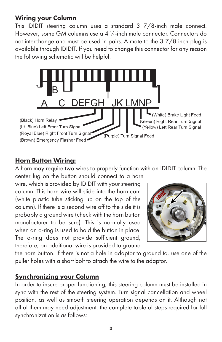#### Wiring your Column

This IDIDIT steering column uses a standard 3 7/8-inch male connect. However, some GM columns use a 4 ¼-inch male connector. Connectors do not interchange and must be used in pairs. A mate to the 3 7/8 inch plug is available through IDIDIT. If you need to change this connector for any reason the following schematic will be helpful.



#### **Horn Button Wiring:**

A horn may require two wires to properly function with an IDIDIT column. The center lug on the button should connect to a horn

wire, which is provided by IDIDIT with your steering column. This horn wire will slide into the horn cam (white plastic tube sticking up on the top of the column). If there is a second wire off to the side it is probably a ground wire (check with the horn button manufacturer to be sure). This is normally used when an o-ring is used to hold the button in place. The o-ring does not provide sufficient ground, therefore, an additional wire is provided to ground



the horn button. If there is not a hole in adaptor to ground to, use one of the puller holes with a short bolt to attach the wire to the adaptor.

#### Synchronizing your Column

In order to insure proper functioning, this steering column must be installed in sync with the rest of the steering system. Turn signal cancellation and wheel position, as well as smooth steering operation depends on it. Although not all of them may need adjustment, the complete table of steps required for full synchronization is as follows: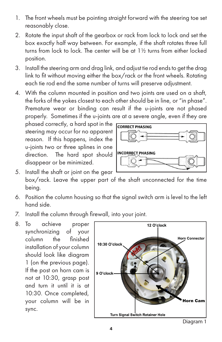- 1. The front wheels must be pointing straight forward with the steering toe set reasonably close.
- 2. Rotate the input shaft of the gearbox or rack from lock to lock and set the box exactly half way between. For example, if the shaft rotates three full turns from lock to lock. The center will be at 1½ turns from either locked position.
- 3. Install the steering arm and drag link, and adjust tie rod ends to get the drag link to fit without moving either the box/rack or the front wheels. Rotating each tie rod end the same number of turns will preserve adjustment.
- 4. With the column mounted in position and two joints are used on a shaft, the forks of the yokes closest to each other should be in line, or "in phase". Premature wear or binding can result if the u-joints are not phased properly. Sometimes if the u-joints are at a severe angle, even if they are

phased correctly, a hard spot in the steering may occur for no apparent reason. If this happens, index the u-joints two or three splines in one direction. The hard spot should disappear or be minimized.



- 5. Install the shaft or joint on the gear box/rack. Leave the upper part of the shaft unconnected for the time being.
- 6. Position the column housing so that the signal switch arm is level to the left hand side.
- 7. Install the column through firewall, into your joint.
- 8. To achieve proper synchronizing of your column the finished installation of your column should look like diagram 1 (on the previous page). If the post on horn cam is not at 10:30, grasp post and turn it until it is at 10:30. Once completed, your column will be in sync.

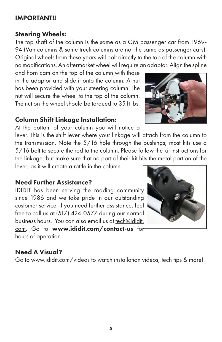#### IMPORTANT!!

#### Steering Wheels:

The top shaft of the column is the same as a GM passenger car from 1969- 94 (Van columns & some truck columns are not the same as passenger cars). Original wheels from these years will bolt directly to the top of the column with no modifications. An aftermarket wheel will require an adaptor. Align the spline

and horn cam on the top of the column with those in the adaptor and slide it onto the column. A nut has been provided with your steering column. The nut will secure the wheel to the top of the column. The nut on the wheel should be torqued to 35 ft lbs.

#### Column Shift Linkage Installation:

At the bottom of your column you will notice a

lever. This is the shift lever where your linkage will attach from the column to the transmission. Note the 5/16 hole through the bushings, most kits use a 5/16 bolt to secure the rod to the column. Please follow the kit instructions for the linkage, but make sure that no part of their kit hits the metal portion of the

lever, as it will create a rattle in the column.

#### Need Further Assistance?

IDIDIT has been serving the rodding community since 1986 and we take pride in our outstanding customer service. If you need further assistance, feel free to call us at (517) 424-0577 during our normal business hours. You can also email us at tech@ididit.

com. Go to www.ididit.com/contact-us for hours of operation.

#### Need A Visual?

Go to www.ididit.com/videos to watch installation videos, tech tips & more!



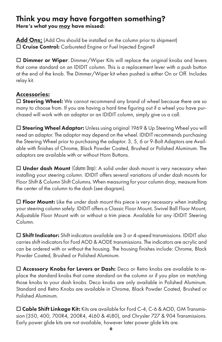#### Think you may have forgotten something? Here's what you may have missed:

Add Ons: (Add Ons should be installed on the column prior to shipment) □ Cruise Control: Carbureted Engine or Fuel Injected Engine?

 $\Box$  **Dimmer or Wiper**: Dimmer/Wiper Kits will replace the original knobs and levers that come standard on an IDIDIT column. This is a replacement lever with a push button at the end of the knob. The Dimmer/Wiper kit when pushed is either On or Off. Includes relay kit.

#### Accessories:

 $\Box$  Steering Wheel: We cannot recommend any brand of wheel because there are so many to choose from. If you are having a hard time figuring out if a wheel you have purchased will work with an adaptor or an IDIDIT column, simply give us a call.

 $\square$  Steering Wheel Adaptor: Unless using original 1969 & Up Steering Wheel you will need an adaptor. The adaptor may depend on the wheel. IDIDIT recommends purchasing the Steering Wheel prior to purchasing the adaptor. 3, 5, 6 or 9-Bolt Adaptors are Available with finishes of Chrome, Black Powder Coated, Brushed or Polished Aluminum. The adaptors are available with or without Horn Buttons.

 $\Box$  Under dash Mount (Column Drop): A solid under dash mount is very necessary when installing your steering column. IDIDIT offers several variations of under dash mounts for Floor Shift & Column Shift Columns. When measuring for your column drop, measure from the center of the column to the dash (see diagram).

 $\Box$  Floor Mount: Like the under dash mount this piece is very necessary when installing your steering column safely. IDIDIT offers a Classic Floor Mount, Swivel Ball Floor Mount, Adjustable Floor Mount with or without a trim piece. Available for any IDIDIT Steering Column.

 $\Box$  Shift Indicator: Shift indicators available are 3 or 4-speed transmissions. IDIDIT also carries shift indicators for Ford AOD & AODE transmissions. The indicators are acrylic and can be ordered with or without the housing. The housing finishes include: Chrome, Black Powder Coated, Brushed or Polished Aluminum.

□ Accessory Knobs for Levers or Dash: Deco or Retro knobs are available to replace the standard knobs that come standard on the column or if you plan on matching those knobs to your dash knobs. Deco knobs are only available in Polished Aluminum. Standard and Retro Knobs are available in Chrome, Black Powder Coated, Brushed or Polished Aluminum.

 $\square$  Cable Shift Linkage Kit: Kits are available for Ford C-4, C-6 & AOD, GM Transmission (350, 400, 700R4, 200R4, 4L60 & 4L80), and Chrysler 727 & 904 Transmissions. Early power glide kits are not available, however later power glide kits are.